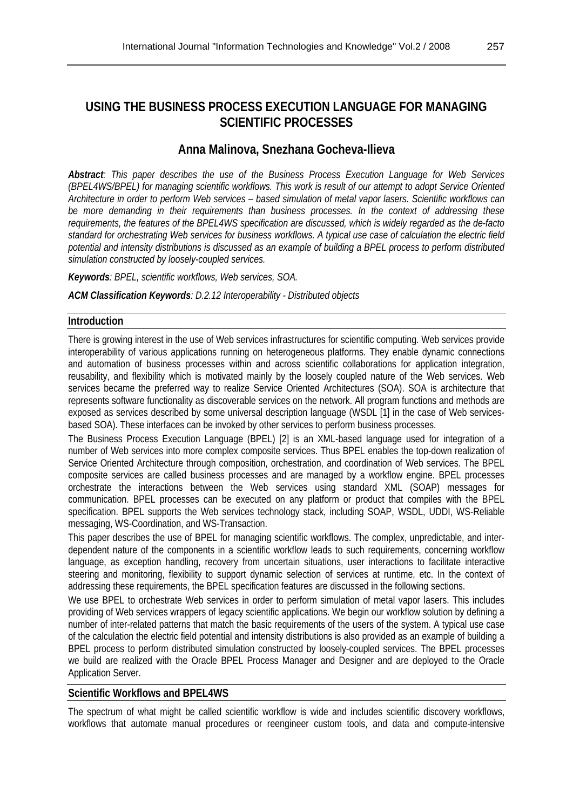# **USING THE BUSINESS PROCESS EXECUTION LANGUAGE FOR MANAGING SCIENTIFIC PROCESSES**

# **Anna Malinova, Snezhana Gocheva-Ilieva**

*Abstract: This paper describes the use of the Business Process Execution Language for Web Services (BPEL4WS/BPEL) for managing scientific workflows. This work is result of our attempt to adopt Service Oriented Architecture in order to perform Web services – based simulation of metal vapor lasers. Scientific workflows can be more demanding in their requirements than business processes. In the context of addressing these requirements, the features of the BPEL4WS specification are discussed, which is widely regarded as the de-facto standard for orchestrating Web services for business workflows. A typical use case of calculation the electric field potential and intensity distributions is discussed as an example of building a BPEL process to perform distributed simulation constructed by loosely-coupled services.* 

*Keywords: BPEL, scientific workflows, Web services, SOA.* 

*ACM Classification Keywords: D.2.12 Interoperability - Distributed objects* 

## **Introduction**

There is growing interest in the use of Web services infrastructures for scientific computing. Web services provide interoperability of various applications running on heterogeneous platforms. They enable dynamic connections and automation of business processes within and across scientific collaborations for application integration, reusability, and flexibility which is motivated mainly by the loosely coupled nature of the Web services. Web services became the preferred way to realize Service Oriented Architectures (SOA). SOA is architecture that represents software functionality as discoverable services on the network. All program functions and methods are exposed as services described by some universal description language (WSDL [1] in the case of Web servicesbased SOA). These interfaces can be invoked by other services to perform business processes.

The Business Process Execution Language (BPEL) [2] is an XML-based language used for integration of a number of Web services into more complex composite services. Thus BPEL enables the top-down realization of Service Oriented Architecture through composition, orchestration, and coordination of Web services. The BPEL composite services are called business processes and are managed by a workflow engine. BPEL processes orchestrate the interactions between the Web services using standard XML (SOAP) messages for communication. BPEL processes can be executed on any platform or product that compiles with the BPEL specification. BPEL supports the Web services technology stack, including SOAP, WSDL, UDDI, WS-Reliable messaging, WS-Coordination, and WS-Transaction.

This paper describes the use of BPEL for managing scientific workflows. The complex, unpredictable, and interdependent nature of the components in a scientific workflow leads to such requirements, concerning workflow language, as exception handling, recovery from uncertain situations, user interactions to facilitate interactive steering and monitoring, flexibility to support dynamic selection of services at runtime, etc. In the context of addressing these requirements, the BPEL specification features are discussed in the following sections.

We use BPEL to orchestrate Web services in order to perform simulation of metal vapor lasers. This includes providing of Web services wrappers of legacy scientific applications. We begin our workflow solution by defining a number of inter-related patterns that match the basic requirements of the users of the system. A typical use case of the calculation the electric field potential and intensity distributions is also provided as an example of building a BPEL process to perform distributed simulation constructed by loosely-coupled services. The BPEL processes we build are realized with the Oracle BPEL Process Manager and Designer and are deployed to the Oracle Application Server.

### **Scientific Workflows and BPEL4WS**

The spectrum of what might be called scientific workflow is wide and includes scientific discovery workflows, workflows that automate manual procedures or reengineer custom tools, and data and compute-intensive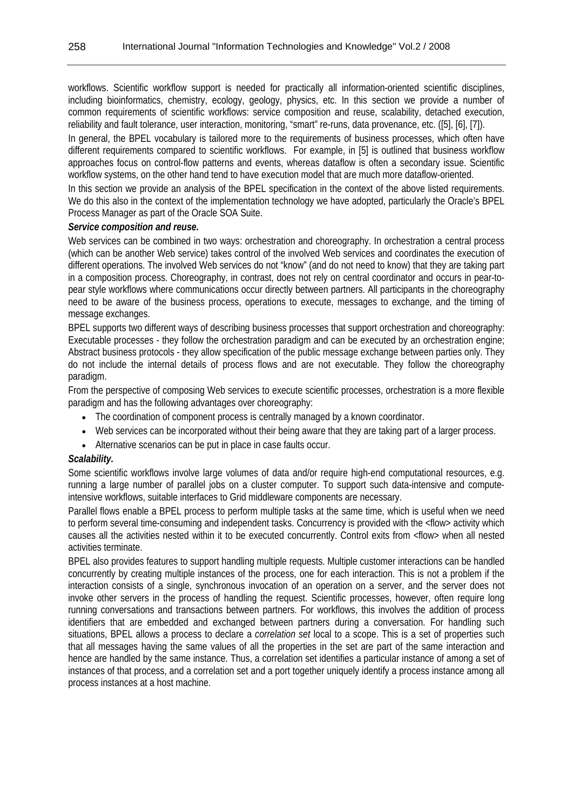workflows. Scientific workflow support is needed for practically all information-oriented scientific disciplines, including bioinformatics, chemistry, ecology, geology, physics, etc. In this section we provide a number of common requirements of scientific workflows: service composition and reuse, scalability, detached execution, reliability and fault tolerance, user interaction, monitoring, "smart" re-runs, data provenance, etc. ([5], [6], [7]).

In general, the BPEL vocabulary is tailored more to the requirements of business processes, which often have different requirements compared to scientific workflows. For example, in [5] is outlined that business workflow approaches focus on control-flow patterns and events, whereas dataflow is often a secondary issue. Scientific workflow systems, on the other hand tend to have execution model that are much more dataflow-oriented.

In this section we provide an analysis of the BPEL specification in the context of the above listed requirements. We do this also in the context of the implementation technology we have adopted, particularly the Oracle's BPEL Process Manager as part of the Oracle SOA Suite.

#### *Service composition and reuse.*

Web services can be combined in two ways: orchestration and choreography. In orchestration a central process (which can be another Web service) takes control of the involved Web services and coordinates the execution of different operations. The involved Web services do not "know" (and do not need to know) that they are taking part in a composition process. Choreography, in contrast, does not rely on central coordinator and occurs in pear-topear style workflows where communications occur directly between partners. All participants in the choreography need to be aware of the business process, operations to execute, messages to exchange, and the timing of message exchanges.

BPEL supports two different ways of describing business processes that support orchestration and choreography: Executable processes - they follow the orchestration paradigm and can be executed by an orchestration engine; Abstract business protocols - they allow specification of the public message exchange between parties only. They do not include the internal details of process flows and are not executable. They follow the choreography paradigm.

From the perspective of composing Web services to execute scientific processes, orchestration is a more flexible paradigm and has the following advantages over choreography:

- The coordination of component process is centrally managed by a known coordinator.
- Web services can be incorporated without their being aware that they are taking part of a larger process.
- Alternative scenarios can be put in place in case faults occur.

### *Scalability.*

Some scientific workflows involve large volumes of data and/or require high-end computational resources, e.g. running a large number of parallel jobs on a cluster computer. To support such data-intensive and computeintensive workflows, suitable interfaces to Grid middleware components are necessary.

Parallel flows enable a BPEL process to perform multiple tasks at the same time, which is useful when we need to perform several time-consuming and independent tasks. Concurrency is provided with the <flow> activity which causes all the activities nested within it to be executed concurrently. Control exits from <flow> when all nested activities terminate.

BPEL also provides features to support handling multiple requests. Multiple customer interactions can be handled concurrently by creating multiple instances of the process, one for each interaction. This is not a problem if the interaction consists of a single, synchronous invocation of an operation on a server, and the server does not invoke other servers in the process of handling the request. Scientific processes, however, often require long running conversations and transactions between partners. For workflows, this involves the addition of process identifiers that are embedded and exchanged between partners during a conversation. For handling such situations, BPEL allows a process to declare a *correlation set* local to a scope. This is a set of properties such that all messages having the same values of all the properties in the set are part of the same interaction and hence are handled by the same instance. Thus, a correlation set identifies a particular instance of among a set of instances of that process, and a correlation set and a port together uniquely identify a process instance among all process instances at a host machine.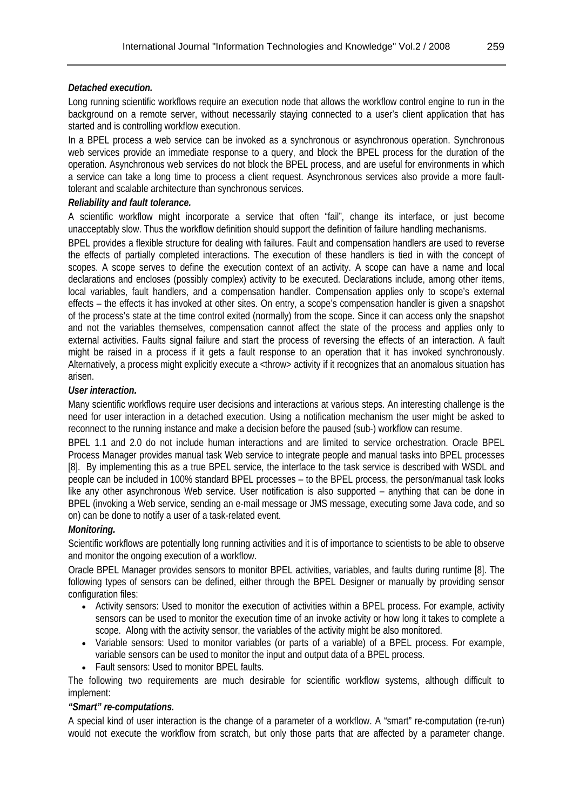## *Detached execution.*

Long running scientific workflows require an execution node that allows the workflow control engine to run in the background on a remote server, without necessarily staying connected to a user's client application that has started and is controlling workflow execution.

In a BPEL process a web service can be invoked as a synchronous or asynchronous operation. Synchronous web services provide an immediate response to a query, and block the BPEL process for the duration of the operation. Asynchronous web services do not block the BPEL process, and are useful for environments in which a service can take a long time to process a client request. Asynchronous services also provide a more faulttolerant and scalable architecture than synchronous services.

## *Reliability and fault tolerance.*

A scientific workflow might incorporate a service that often "fail", change its interface, or just become unacceptably slow. Thus the workflow definition should support the definition of failure handling mechanisms.

BPEL provides a flexible structure for dealing with failures. Fault and compensation handlers are used to reverse the effects of partially completed interactions. The execution of these handlers is tied in with the concept of scopes. A scope serves to define the execution context of an activity. A scope can have a name and local declarations and encloses (possibly complex) activity to be executed. Declarations include, among other items, local variables, fault handlers, and a compensation handler. Compensation applies only to scope's external effects – the effects it has invoked at other sites. On entry, a scope's compensation handler is given a snapshot of the process's state at the time control exited (normally) from the scope. Since it can access only the snapshot and not the variables themselves, compensation cannot affect the state of the process and applies only to external activities. Faults signal failure and start the process of reversing the effects of an interaction. A fault might be raised in a process if it gets a fault response to an operation that it has invoked synchronously. Alternatively, a process might explicitly execute a <throw> activity if it recognizes that an anomalous situation has arisen.

## *User interaction.*

Many scientific workflows require user decisions and interactions at various steps. An interesting challenge is the need for user interaction in a detached execution. Using a notification mechanism the user might be asked to reconnect to the running instance and make a decision before the paused (sub-) workflow can resume.

BPEL 1.1 and 2.0 do not include human interactions and are limited to service orchestration. Oracle BPEL Process Manager provides manual task Web service to integrate people and manual tasks into BPEL processes [8]. By implementing this as a true BPEL service, the interface to the task service is described with WSDL and people can be included in 100% standard BPEL processes – to the BPEL process, the person/manual task looks like any other asynchronous Web service. User notification is also supported – anything that can be done in BPEL (invoking a Web service, sending an e-mail message or JMS message, executing some Java code, and so on) can be done to notify a user of a task-related event.

# *Monitoring.*

Scientific workflows are potentially long running activities and it is of importance to scientists to be able to observe and monitor the ongoing execution of a workflow.

Oracle BPEL Manager provides sensors to monitor BPEL activities, variables, and faults during runtime [8]. The following types of sensors can be defined, either through the BPEL Designer or manually by providing sensor configuration files:

- Activity sensors: Used to monitor the execution of activities within a BPEL process. For example, activity sensors can be used to monitor the execution time of an invoke activity or how long it takes to complete a scope. Along with the activity sensor, the variables of the activity might be also monitored.
- Variable sensors: Used to monitor variables (or parts of a variable) of a BPEL process. For example, variable sensors can be used to monitor the input and output data of a BPEL process.
- Fault sensors: Used to monitor BPEL faults.

The following two requirements are much desirable for scientific workflow systems, although difficult to implement:

### *"Smart" re-computations.*

A special kind of user interaction is the change of a parameter of a workflow. A "smart" re-computation (re-run) would not execute the workflow from scratch, but only those parts that are affected by a parameter change.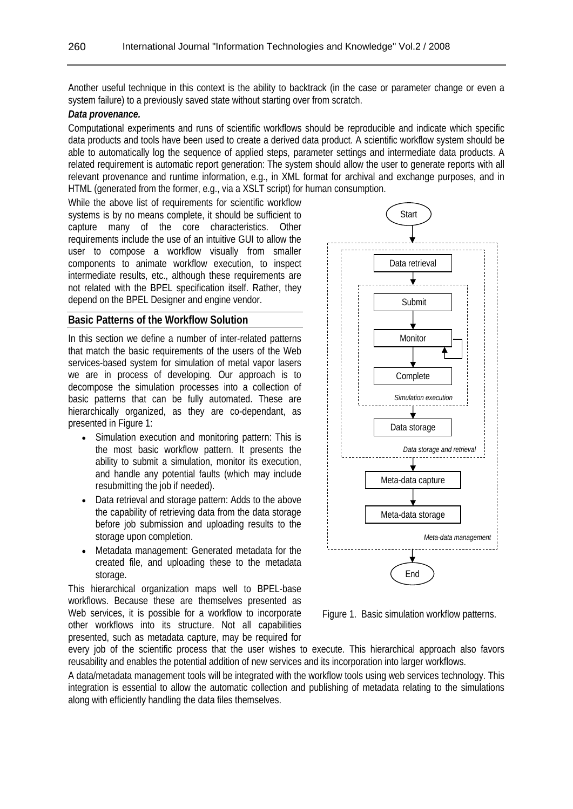Another useful technique in this context is the ability to backtrack (in the case or parameter change or even a system failure) to a previously saved state without starting over from scratch.

#### *Data provenance.*

Computational experiments and runs of scientific workflows should be reproducible and indicate which specific data products and tools have been used to create a derived data product. A scientific workflow system should be able to automatically log the sequence of applied steps, parameter settings and intermediate data products. A related requirement is automatic report generation: The system should allow the user to generate reports with all relevant provenance and runtime information, e.g., in XML format for archival and exchange purposes, and in HTML (generated from the former, e.g., via a XSLT script) for human consumption.

While the above list of requirements for scientific workflow systems is by no means complete, it should be sufficient to capture many of the core characteristics. Other requirements include the use of an intuitive GUI to allow the user to compose a workflow visually from smaller components to animate workflow execution, to inspect intermediate results, etc., although these requirements are not related with the BPEL specification itself. Rather, they depend on the BPEL Designer and engine vendor.

### **Basic Patterns of the Workflow Solution**

In this section we define a number of inter-related patterns that match the basic requirements of the users of the Web services-based system for simulation of metal vapor lasers we are in process of developing. Our approach is to decompose the simulation processes into a collection of basic patterns that can be fully automated. These are hierarchically organized, as they are co-dependant, as presented in Figure 1:

- Simulation execution and monitoring pattern: This is the most basic workflow pattern. It presents the ability to submit a simulation, monitor its execution, and handle any potential faults (which may include resubmitting the job if needed).
- Data retrieval and storage pattern: Adds to the above the capability of retrieving data from the data storage before job submission and uploading results to the storage upon completion.
- Metadata management: Generated metadata for the created file, and uploading these to the metadata storage.

This hierarchical organization maps well to BPEL-base workflows. Because these are themselves presented as Web services, it is possible for a workflow to incorporate other workflows into its structure. Not all capabilities presented, such as metadata capture, may be required for



Figure 1. Basic simulation workflow patterns.

every job of the scientific process that the user wishes to execute. This hierarchical approach also favors reusability and enables the potential addition of new services and its incorporation into larger workflows.

A data/metadata management tools will be integrated with the workflow tools using web services technology. This integration is essential to allow the automatic collection and publishing of metadata relating to the simulations along with efficiently handling the data files themselves.